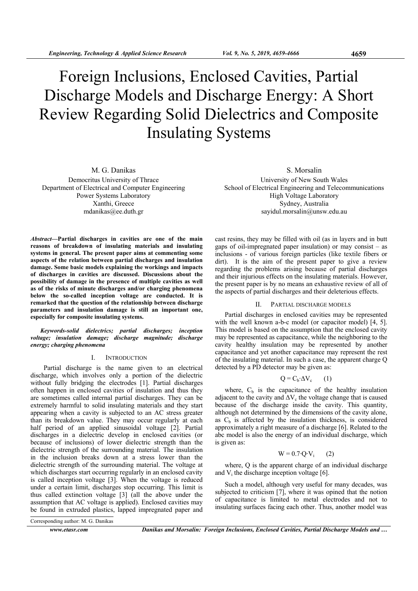# Foreign Inclusions, Enclosed Cavities, Partial Discharge Models and Discharge Energy: A Short Review Regarding Solid Dielectrics and Composite Insulating Systems

M. G. Danikas Democritus University of Thrace Department of Electrical and Computer Engineering Power Systems Laboratory Xanthi, Greece mdanikas@ee.duth.gr

*Abstract***—Partial discharges in cavities are one of the main reasons of breakdown of insulating materials and insulating systems in general. The present paper aims at commenting some aspects of the relation between partial discharges and insulation damage. Some basic models explaining the workings and impacts of discharges in cavities are discussed. Discussions about the possibility of damage in the presence of multiple cavities as well as of the risks of minute discharges and/or charging phenomena below the so-called inception voltage are conducted. It is remarked that the question of the relationship between discharge parameters and insulation damage is still an important one, especially for composite insulating systems.** 

*Keywords-solid dielectrics; partial discharges; inception voltage; insulation damage; discharge magnitude; discharge energy; charging phenomena* 

### I. INTRODUCTION

 Partial discharge is the name given to an electrical discharge, which involves only a portion of the dielectric without fully bridging the electrodes [1]. Partial discharges often happen in enclosed cavities of insulation and thus they are sometimes called internal partial discharges. They can be extremely harmful to solid insulating materials and they start appearing when a cavity is subjected to an AC stress greater than its breakdown value. They may occur regularly at each half period of an applied sinusoidal voltage [2]. Partial discharges in a dielectric develop in enclosed cavities (or because of inclusions) of lower dielectric strength than the dielectric strength of the surrounding material. The insulation in the inclusion breaks down at a stress lower than the dielectric strength of the surrounding material. The voltage at which discharges start occurring regularly in an enclosed cavity is called inception voltage [3]. When the voltage is reduced under a certain limit, discharges stop occurring. This limit is thus called extinction voltage [3] (all the above under the assumption that AC voltage is applied). Enclosed cavities may be found in extruded plastics, lapped impregnated paper and S. Morsalin

University of New South Wales School of Electrical Engineering and Telecommunications High Voltage Laboratory Sydney, Australia sayidul.morsalin@unsw.edu.au

cast resins, they may be filled with oil (as in layers and in butt gaps of oil-impregnated paper insulation) or may consist – as inclusions - of various foreign particles (like textile fibers or dirt). It is the aim of the present paper to give a review regarding the problems arising because of partial discharges and their injurious effects on the insulating materials. However, the present paper is by no means an exhaustive review of all of the aspects of partial discharges and their deleterious effects.

#### II. PARTIAL DISCHARGE MODELS

Partial discharges in enclosed cavities may be represented with the well known a-b-c model (or capacitor model) [4, 5]. This model is based on the assumption that the enclosed cavity may be represented as capacitance, while the neighboring to the cavity healthy insulation may be represented by another capacitance and yet another capacitance may represent the rest of the insulating material. In such a case, the apparent charge Q detected by a PD detector may be given as:

$$
Q = C_b \Delta V_c \qquad (1)
$$

where,  $C_b$  is the capacitance of the healthy insulation adjacent to the cavity and  $\Delta V_c$  the voltage change that is caused because of the discharge inside the cavity. This quantity, although not determined by the dimensions of the cavity alone, as  $C_b$  is affected by the insulation thickness, is considered approximately a right measure of a discharge [6]. Related to the abc model is also the energy of an individual discharge, which is given as:

#### $W = 0.7 \cdot Q \cdot V_i$  (2)

where, Q is the apparent charge of an individual discharge and  $V_i$  the discharge inception voltage [6].

Such a model, although very useful for many decades, was subjected to criticism [7], where it was opined that the notion of capacitance is limited to metal electrodes and not to insulating surfaces facing each other. Thus, another model was

Corresponding author: M. G. Danikas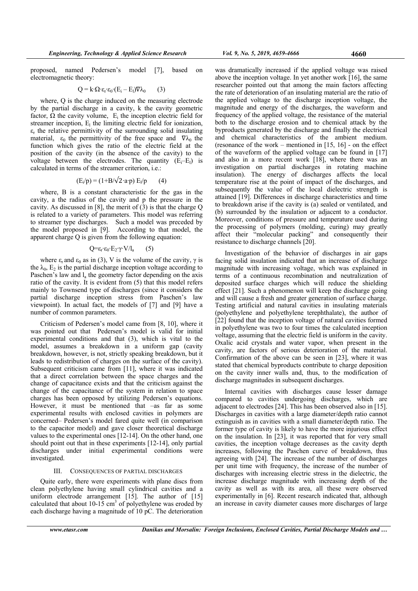proposed, named Pedersen's model [7], based on electromagnetic theory:

$$
Q = k \cdot \Omega \cdot \varepsilon_r \cdot \varepsilon_0 \cdot (E_i - E_l) \nabla \lambda_0 \qquad (3)
$$

where, Q is the charge induced on the measuring electrode by the partial discharge in a cavity, k the cavity geometric factor,  $\Omega$  the cavity volume,  $E_i$  the inception electric field for streamer inception,  $E_1$  the limiting electric field for ionization,  $\varepsilon_r$  the relative permittivity of the surrounding solid insulating material,  $\varepsilon_0$  the permittivity of the free space and  $\nabla \lambda_0$  the function which gives the ratio of the electric field at the position of the cavity (in the absence of the cavity) to the voltage between the electrodes. The quantity  $(E_i-E_l)$  is calculated in terms of the streamer criterion, i.e.:

$$
(E_i/p) = (1 + B/\sqrt{2} \cdot a \cdot p) E_i/p \qquad (4)
$$

where, B is a constant characteristic for the gas in the cavity, a the radius of the cavity and p the pressure in the cavity. As discussed in [8], the merit of (3) is that the charge Q is related to a variety of parameters. This model was referring to streamer type discharges. Such a model was preceded by the model proposed in [9]. According to that model, the apparent charge Q is given from the following equation:

$$
Q = \varepsilon_r \cdot \varepsilon_0 \cdot E_2 \cdot \gamma \cdot V / l_a \qquad (5)
$$

where  $\varepsilon_r$  and  $\varepsilon_0$  as in (3), V is the volume of the cavity,  $\gamma$  is the  $\lambda_0$ ,  $E_2$  is the partial discharge inception voltage according to Paschen's law and  $l_a$  the geometry factor depending on the axis ratio of the cavity. It is evident from (5) that this model refers mainly to Townsend type of discharges (since it considers the partial discharge inception stress from Paschen's law viewpoint). In actual fact, the models of [7] and [9] have a number of common parameters.

Criticism of Pedersen's model came from [8, 10], where it was pointed out that Pedersen's model is valid for initial experimental conditions and that (3), which is vital to the model, assumes a breakdown in a uniform gap (cavity breakdown, however, is not, strictly speaking breakdown, but it leads to redistribution of charges on the surface of the cavity). Subsequent criticism came from [11], where it was indicated that a direct correlation between the space charges and the change of capacitance exists and that the criticism against the change of the capacitance of the system in relation to space charges has been opposed by utilizing Pedersen's equations. However, it must be mentioned that –as far as some experimental results with enclosed cavities in polymers are concerned– Pedersen's model fared quite well (in comparison to the capacitor model) and gave closer theoretical discharge values to the experimental ones [12-14]. On the other hand, one should point out that in these experiments [12-14], only partial discharges under initial experimental conditions were investigated.

### III. CONSEQUENCES OF PARTIAL DISCHARGES

Quite early, there were experiments with plane discs from clean polyethylene having small cylindrical cavities and a uniform electrode arrangement [15]. The author of [15] calculated that about  $10-15$  cm<sup>3</sup> of polyethylene was eroded by each discharge having a magnitude of 10 pC. The deterioration

was dramatically increased if the applied voltage was raised above the inception voltage. In yet another work [16], the same researcher pointed out that among the main factors affecting the rate of deterioration of an insulating material are the ratio of the applied voltage to the discharge inception voltage, the magnitude and energy of the discharges, the waveform and frequency of the applied voltage, the resistance of the material both to the discharge erosion and to chemical attack by the byproducts generated by the discharge and finally the electrical and chemical characteristics of the ambient medium. (resonance of the work – mentioned in [15, 16] - on the effect of the waveform of the applied voltage can be found in [17] and also in a more recent work [18], where there was an investigation on partial discharges in rotating machine insulation). The energy of discharges affects the local temperature rise at the point of impact of the discharges, and subsequently the value of the local dielectric strength is attained [19]. Differences in discharge characteristics and time to breakdown arise if the cavity is (a) sealed or ventilated, and (b) surrounded by the insulation or adjacent to a conductor. Moreover, conditions of pressure and temperature used during the processing of polymers (molding, curing) may greatly affect their "molecular packing" and consequently their resistance to discharge channels [20].

Investigation of the behavior of discharges in air gaps facing solid insulation indicated that an increase of discharge magnitude with increasing voltage, which was explained in terms of a continuous recombination and neutralization of deposited surface charges which will reduce the shielding effect [21]. Such a phenomenon will keep the discharge going and will cause a fresh and greater generation of surface charge. Testing artificial and natural cavities in insulating materials (polyethylene and polyethylene terephthalate), the author of [22] found that the inception voltage of natural cavities formed in polyethylene was two to four times the calculated inception voltage, assuming that the electric field is uniform in the cavity. Oxalic acid crystals and water vapor, when present in the cavity, are factors of serious deterioration of the material. Confirmation of the above can be seen in [23], where it was stated that chemical byproducts contribute to charge deposition on the cavity inner walls and, thus, to the modification of discharge magnitudes in subsequent discharges.

Internal cavities with discharges cause lesser damage compared to cavities undergoing discharges, which are adjacent to electrodes [24]. This has been observed also in [15]. Discharges in cavities with a large diameter/depth ratio cannot extinguish as in cavities with a small diameter/depth ratio. The former type of cavity is likely to have the more injurious effect on the insulation. In [23], it was reported that for very small cavities, the inception voltage decreases as the cavity depth increases, following the Paschen curve of breakdown, thus agreeing with [24]. The increase of the number of discharges per unit time with frequency, the increase of the number of discharges with increasing electric stress in the dielectric, the increase discharge magnitude with increasing depth of the cavity as well as with its area, all these were observed experimentally in [6]. Recent research indicated that, although an increase in cavity diameter causes more discharges of large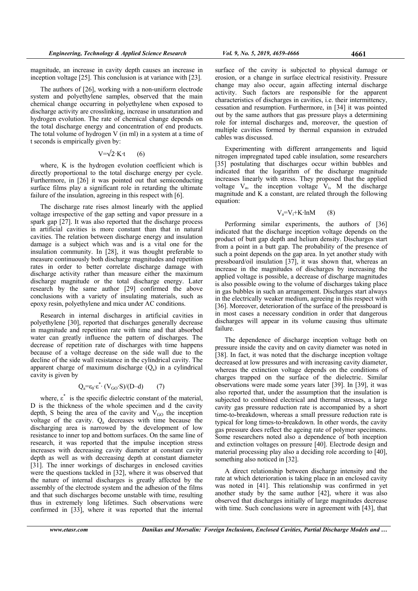The authors of [26], working with a non-uniform electrode system and polyethylene samples, observed that the main chemical change occurring in polyethylene when exposed to discharge activity are crosslinking, increase in unsaturation and hydrogen evolution. The rate of chemical change depends on the total discharge energy and concentration of end products. The total volume of hydrogen V (in ml) in a system at a time of t seconds is empirically given by:

# $V=\sqrt{2\cdot K\cdot t}$  (6)

where, K is the hydrogen evolution coefficient which is directly proportional to the total discharge energy per cycle. Furthermore, in [26] it was pointed out that semiconducting surface films play a significant role in retarding the ultimate failure of the insulation, agreeing in this respect with [6].

The discharge rate rises almost linearly with the applied voltage irrespective of the gap setting and vapor pressure in a spark gap [27]. It was also reported that the discharge process in artificial cavities is more constant than that in natural cavities. The relation between discharge energy and insulation damage is a subject which was and is a vital one for the insulation community. In [28], it was thought preferable to measure continuously both discharge magnitudes and repetition rates in order to better correlate discharge damage with discharge activity rather than measure either the maximum discharge magnitude or the total discharge energy. Later research by the same author [29] confirmed the above conclusions with a variety of insulating materials, such as epoxy resin, polyethylene and mica under AC conditions.

Research in internal discharges in artificial cavities in polyethylene [30], reported that discharges generally decrease in magnitude and repetition rate with time and that absorbed water can greatly influence the pattern of discharges. The decrease of repetition rate of discharges with time happens because of a voltage decrease on the side wall due to the decline of the side wall resistance in the cylindrical cavity. The apparent charge of maximum discharge  $(Q_a)$  in a cylindrical cavity is given by

$$
Q_a = \varepsilon_0 \cdot \varepsilon^* \cdot (V_{GO} \cdot S)/(D - d) \tag{7}
$$

where,  $\varepsilon^*$  is the specific dielectric constant of the material, D is the thickness of the whole specimen and d the cavity depth, S being the area of the cavity and  $V_{GO}$  the inception voltage of the cavity.  $Q_a$  decreases with time because the discharging area is narrowed by the development of low resistance to inner top and bottom surfaces. On the same line of research, it was reported that the impulse inception stress increases with decreasing cavity diameter at constant cavity depth as well as with decreasing depth at constant diameter [31]. The inner workings of discharges in enclosed cavities were the questions tackled in [32], where it was observed that the nature of internal discharges is greatly affected by the assembly of the electrode system and the adhesion of the films and that such discharges become unstable with time, resulting thus in extremely long lifetimes. Such observations were confirmed in [33], where it was reported that the internal

surface of the cavity is subjected to physical damage or erosion, or a change in surface electrical resistivity. Pressure change may also occur, again affecting internal discharge activity. Such factors are responsible for the apparent characteristics of discharges in cavities, i.e. their intermittency, cessation and resumption. Furthermore, in [34] it was pointed out by the same authors that gas pressure plays a determining role for internal discharges and, moreover, the question of multiple cavities formed by thermal expansion in extruded cables was discussed.

Experimenting with different arrangements and liquid nitrogen impregnated taped cable insulation, some researchers [35] postulating that discharges occur within bubbles and indicated that the logarithm of the discharge magnitude increases linearly with stress. They proposed that the applied voltage  $V_a$ , the inception voltage  $\bar{V}_i$ , M the discharge magnitude and K a constant, are related through the following equation:

$$
V_a = V_i + K \cdot lnM \qquad (8)
$$

Performing similar experiments, the authors of [36] indicated that the discharge inception voltage depends on the product of butt gap depth and helium density. Discharges start from a point in a butt gap. The probability of the presence of such a point depends on the gap area. In yet another study with pressboard/oil insulation [37], it was shown that, whereas an increase in the magnitudes of discharges by increasing the applied voltage is possible, a decrease of discharge magnitudes is also possible owing to the volume of discharges taking place in gas bubbles in such an arrangement. Discharges start always in the electrically weaker medium, agreeing in this respect with [36]. Moreover, deterioration of the surface of the pressboard is in most cases a necessary condition in order that dangerous discharges will appear in its volume causing thus ultimate failure.

The dependence of discharge inception voltage both on pressure inside the cavity and on cavity diameter was noted in [38]. In fact, it was noted that the discharge inception voltage decreased at low pressures and with increasing cavity diameter, whereas the extinction voltage depends on the conditions of charges trapped on the surface of the dielectric. Similar observations were made some years later [39]. In [39], it was also reported that, under the assumption that the insulation is subjected to combined electrical and thermal stresses, a large cavity gas pressure reduction rate is accompanied by a short time-to-breakdown, whereas a small pressure reduction rate is typical for long times-to-breakdown. In other words, the cavity gas pressure does reflect the ageing rate of polymer specimens. Some researchers noted also a dependence of both inception and extinction voltages on pressure [40]. Electrode design and material processing play also a deciding role according to [40], something also noticed in [32].

A direct relationship between discharge intensity and the rate at which deterioration is taking place in an enclosed cavity was noted in [41]. This relationship was confirmed in yet another study by the same author [42], where it was also observed that discharges initially of large magnitudes decrease with time. Such conclusions were in agreement with [43], that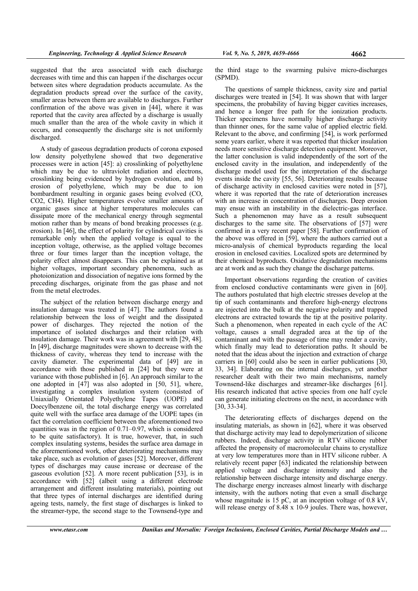suggested that the area associated with each discharge decreases with time and this can happen if the discharges occur between sites where degradation products accumulate. As the degradation products spread over the surface of the cavity, smaller areas between them are available to discharges. Further confirmation of the above was given in [44], where it was reported that the cavity area affected by a discharge is usually much smaller than the area of the whole cavity in which it occurs, and consequently the discharge site is not uniformly discharged.

A study of gaseous degradation products of corona exposed low density polyethylene showed that two degenerative processes were in action [45]: a) crosslinking of polyethylene which may be due to ultraviolet radiation and electrons, crosslinking being evidenced by hydrogen evolution, and b) erosion of polyethylene, which may be due to ion bombardment resulting in organic gases being evolved (CO, CO2, CH4). Higher temperatures evolve smaller amounts of organic gases since at higher temperatures molecules can dissipate more of the mechanical energy through segmental motion rather than by means of bond breaking processes (e.g. erosion). In [46], the effect of polarity for cylindrical cavities is remarkable only when the applied voltage is equal to the inception voltage, otherwise, as the applied voltage becomes three or four times larger than the inception voltage, the polarity effect almost disappears. This can be explained as at higher voltages, important secondary phenomena, such as photoionization and dissociation of negative ions formed by the preceding discharges, originate from the gas phase and not from the metal electrodes.

The subject of the relation between discharge energy and insulation damage was treated in [47]. The authors found a relationship between the loss of weight and the dissipated power of discharges. They rejected the notion of the importance of isolated discharges and their relation with insulation damage. Their work was in agreement with [29, 48]. In [49], discharge magnitudes were shown to decrease with the thickness of cavity, whereas they tend to increase with the cavity diameter. The experimental data of [49] are in accordance with those published in [24] but they were at variance with those published in [6]. An approach similar to the one adopted in [47] was also adopted in [50, 51], where, investigating a complex insulation system (consisted of Uniaxially Orientated Polyethylene Tapes (UOPE) and Doecylbenzene oil, the total discharge energy was correlated quite well with the surface area damage of the UOPE tapes (in fact the correlation coefficient between the aforementioned two quantities was in the region of 0.71–0.97, which is considered to be quite satisfactory). It is true, however, that, in such complex insulating systems, besides the surface area damage in the aforementioned work, other deteriorating mechanisms may take place, such as evolution of gases [52]. Moreover, different types of discharges may cause increase or decrease of the gaseous evolution [52]. A more recent publication [53], is in accordance with [52] (albeit using a different electrode arrangement and different insulating materials), pointing out that three types of internal discharges are identified during ageing tests, namely, the first stage of discharges is linked to the streamer-type, the second stage to the Townsend-type and

the third stage to the swarming pulsive micro-discharges (SPMD).

The questions of sample thickness, cavity size and partial discharges were treated in [54]. It was shown that with larger specimens, the probability of having bigger cavities increases, and hence a longer free path for the ionization products. Thicker specimens have normally higher discharge activity than thinner ones, for the same value of applied electric field. Relevant to the above, and confirming [54], is work performed some years earlier, where it was reported that thicker insulation needs more sensitive discharge detection equipment. Moreover, the latter conclusion is valid independently of the sort of the enclosed cavity in the insulation, and independently of the discharge model used for the interpretation of the discharge events inside the cavity [55, 56]. Deteriorating results because of discharge activity in enclosed cavities were noted in [57], where it was reported that the rate of deterioration increases with an increase in concentration of discharges. Deep erosion may ensue with an instability in the dielectric-gas interface. Such a phenomenon may have as a result subsequent discharges to the same site. The observations of [57] were confirmed in a very recent paper [58]. Further confirmation of the above was offered in [59], where the authors carried out a micro-analysis of chemical byproducts regarding the local erosion in enclosed cavities. Localized spots are determined by their chemical byproducts. Oxidative degradation mechanisms are at work and as such they change the discharge patterns.

Important observations regarding the creation of cavities from enclosed conductive contaminants were given in [60]. The authors postulated that high electric stresses develop at the tip of such contaminants and therefore high-energy electrons are injected into the bulk at the negative polarity and trapped electrons are extracted towards the tip at the positive polarity. Such a phenomenon, when repeated in each cycle of the AC voltage, causes a small degraded area at the tip of the contaminant and with the passage of time may render a cavity, which finally may lead to deterioration paths. It should be noted that the ideas about the injection and extraction of charge carriers in [60] could also be seen in earlier publications [30, 33, 34]. Elaborating on the internal discharges, yet another researcher dealt with their two main mechanisms, namely Townsend-like discharges and streamer-like discharges [61]. His research indicated that active species from one half cycle can generate initiating electrons on the next, in accordance with [30, 33-34].

The deteriorating effects of discharges depend on the insulating materials, as shown in [62], where it was observed that discharge activity may lead to depolymerization of silicone rubbers. Indeed, discharge activity in RTV silicone rubber affected the propensity of macromolecular chains to crystallize at very low temperatures more than in HTV silicone rubber. A relatively recent paper [63] indicated the relationship between applied voltage and discharge intensity and also the relationship between discharge intensity and discharge energy. The discharge energy increases almost linearly with discharge intensity, with the authors noting that even a small discharge whose magnitude is 15 pC, at an inception voltage of 0.8 kV, will release energy of 8.48 x 10-9 joules. There was, however,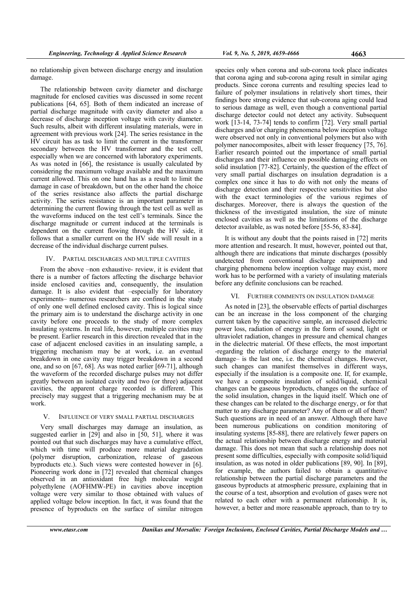no relationship given between discharge energy and insulation damage.

The relationship between cavity diameter and discharge magnitude for enclosed cavities was discussed in some recent publications [64, 65]. Both of them indicated an increase of partial discharge magnitude with cavity diameter and also a decrease of discharge inception voltage with cavity diameter. Such results, albeit with different insulating materials, were in agreement with previous work [24]. The series resistance in the HV circuit has as task to limit the current in the transformer secondary between the HV transformer and the test cell, especially when we are concerned with laboratory experiments. As was noted in [66], the resistance is usually calculated by considering the maximum voltage available and the maximum current allowed. This on one hand has as a result to limit the damage in case of breakdown, but on the other hand the choice of the series resistance also affects the partial discharge activity. The series resistance is an important parameter in determining the current flowing through the test cell as well as the waveforms induced on the test cell's terminals. Since the discharge magnitude or current induced at the terminals is dependent on the current flowing through the HV side, it follows that a smaller current on the HV side will result in a decrease of the individual discharge current pulses.

### IV. PARTIAL DISCHARGES AND MULTIPLE CAVITIES

From the above –non exhaustive- review, it is evident that there is a number of factors affecting the discharge behavior inside enclosed cavities and, consequently, the insulation damage. It is also evident that –especially for laboratory experiments– numerous researchers are confined in the study of only one well defined enclosed cavity. This is logical since the primary aim is to understand the discharge activity in one cavity before one proceeds to the study of more complex insulating systems. In real life, however, multiple cavities may be present. Earlier research in this direction revealed that in the case of adjacent enclosed cavities in an insulating sample, a triggering mechanism may be at work, i.e. an eventual breakdown in one cavity may trigger breakdown in a second one, and so on [67, 68]. As was noted earlier [69-71], although the waveform of the recorded discharge pulses may not differ greatly between an isolated cavity and two (or three) adjacent cavities, the apparent charge recorded is different. This precisely may suggest that a triggering mechanism may be at work.

## V. INFLUENCE OF VERY SMALL PARTIAL DISCHARGES

Very small discharges may damage an insulation, as suggested earlier in [29] and also in [50, 51], where it was pointed out that such discharges may have a cumulative effect, which with time will produce more material degradation (polymer disruption, carbonization, release of gaseous byproducts etc.). Such views were contested however in [6]. Pioneering work done in [72] revealed that chemical changes observed in an antioxidant free high molecular weight polyethylene (AOFHMW-PE) in cavities above inception voltage were very similar to those obtained with values of applied voltage below inception. In fact, it was found that the presence of byproducts on the surface of similar nitrogen

species only when corona and sub-corona took place indicates that corona aging and sub-corona aging result in similar aging products. Since corona currents and resulting species lead to failure of polymer insulations in relatively short times, their findings bore strong evidence that sub-corona aging could lead to serious damage as well, even though a conventional partial discharge detector could not detect any activity. Subsequent work [13-14, 73-74] tends to confirm [72]. Very small partial discharges and/or charging phenomena below inception voltage were observed not only in conventional polymers but also with polymer nanocomposites, albeit with lesser frequency [75, 76]. Earlier research pointed out the importance of small partial discharges and their influence on possible damaging effects on solid insulation [77-82]. Certainly, the question of the effect of very small partial discharges on insulation degradation is a complex one since it has to do with not only the means of discharge detection and their respective sensitivities but also with the exact terminologies of the various regimes of discharges. Moreover, there is always the question of the thickness of the investigated insulation, the size of minute enclosed cavities as well as the limitations of the discharge detector available, as was noted before [55-56, 83-84].

It is without any doubt that the points raised in [72] merits more attention and research. It must, however, pointed out that, although there are indications that minute discharges (possibly undetected from conventional discharge equipment) and charging phenomena below inception voltage may exist, more work has to be performed with a variety of insulating materials before any definite conclusions can be reached.

## VI. FURTHER COMMENTS ON INSULATION DAMAGE

As noted in [23], the observable effects of partial discharges can be an increase in the loss component of the charging current taken by the capacitive sample, an increased dielectric power loss, radiation of energy in the form of sound, light or ultraviolet radiation, changes in pressure and chemical changes in the dielectric material. Of these effects, the most important -regarding the relation of discharge energy to the material damage– is the last one, i.e. the chemical changes. However, such changes can manifest themselves in different ways, especially if the insulation is a composite one. If, for example, we have a composite insulation of solid/liquid, chemical changes can be gaseous byproducts, changes on the surface of the solid insulation, changes in the liquid itself. Which one of these changes can be related to the discharge energy, or for that matter to any discharge parameter? Any of them or all of them? Such questions are in need of an answer. Although there have been numerous publications on condition monitoring of insulating systems [85-88], there are relatively fewer papers on the actual relationship between discharge energy and material damage. This does not mean that such a relationship does not present some difficulties, especially with composite solid/liquid insulation, as was noted in older publications [89, 90]. In [89], for example, the authors failed to obtain a quantitative relationship between the partial discharge parameters and the gaseous byproducts at atmospheric pressure, explaining that in the course of a test, absorption and evolution of gases were not related to each other with a permanent relationship. It is, however, a better and more reasonable approach, than to try to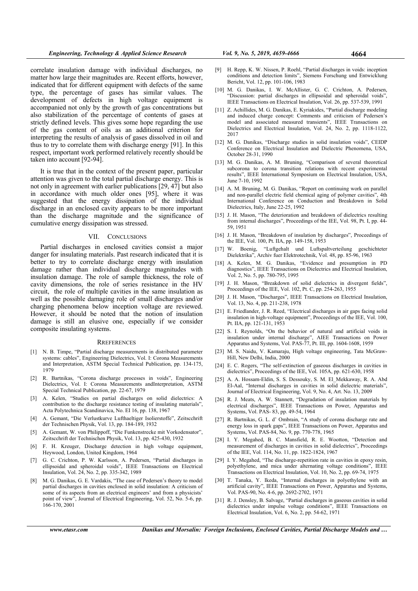correlate insulation damage with individual discharges, no matter how large their magnitudes are. Recent efforts, however, indicated that for different equipment with defects of the same type, the percentage of gases has similar values. The development of defects in high voltage equipment is accompanied not only by the growth of gas concentrations but also stabilization of the percentage of contents of gases at strictly defined levels. This gives some hope regarding the use of the gas content of oils as an additional criterion for interpreting the results of analysis of gases dissolved in oil and thus to try to correlate them with discharge energy [91]. In this respect, important work performed relatively recently should be taken into account [92-94].

It is true that in the context of the present paper, particular attention was given to the total partial discharge energy. This is not only in agreement with earlier publications [29, 47] but also in accordance with much older ones [95], where it was suggested that the energy dissipation of the individual discharge in an enclosed cavity appears to be more important than the discharge magnitude and the significance of cumulative energy dissipation was stressed.

#### VII. CONCLUSIONS

Partial discharges in enclosed cavities consist a major danger for insulating materials. Past research indicated that it is better to try to correlate discharge energy with insulation damage rather than individual discharge magnitudes with insulation damage. The role of sample thickness, the role of cavity dimensions, the role of series resistance in the HV circuit, the role of multiple cavities in the same insulation as well as the possible damaging role of small discharges and/or charging phenomena below inception voltage are reviewed. However, it should be noted that the notion of insulation damage is still an elusive one, especially if we consider composite insulating systems.

#### **RREFERENCES**

- [1] N. B. Timpe, "Partial discharge measurements in distributed parameter systems: cables", Engineering Dielectrics, Vol. I: Corona Measurements and Interpretation, ASTM Special Technical Publication, pp. 134-175, 1979
- [2] R. Bartnikas, "Corona discharge processes in voids", Engineering Dielectrics, Vol. I: Corona Measurements andInterpretation, ASTM Special Technical Publication, pp. 22-67, 1979
- [3] A. Kelen, "Studies on partial discharges on solid dielectrics: A contribution to the discharge resistance testing of insulating materials", Acta Polytechnica Scandinavica, No. EI 16, pp. 138, 1967
- [4] A. Gemant, "Die Verlustkurve Lufthaeltiger Isolierstoffe", Zeitscchrift der Technischen Physik, Vol. 13, pp. 184-189, 1932
- [5] A. Gemant, W. von Philippoff, "Die Funkenstrecke mit Vorkodensator", Zeitscchrift der Technischen Physik, Vol. 13, pp. 425-430, 1932
- F. H. Kreuger, Discharge detection in high voltage equipment, Heywood, London, United Kingdom, 1964
- [7] G. C. Crichton, P. W. Karlsson, A. Pedersen, "Partial discharges in ellipsoidal and spheroidal voids", IEEE Transactions on Electrical Insulation, Vol. 24, No. 2, pp. 335-342, 1989
- [8] M. G. Danikas, G. E. Vardakis, "The case of Pedersen's theory to model partial discharges in cavities enclosed in solid insulation: A criticism of some of its aspects from an electrical engineers' and from a physicists' point of view", Journal of Electrical Engineering, Vol. 52, No. 5-6, pp. 166-170, 2001
- [9] H. Repp, K. W. Nissen, P. Roehl, "Partial discharges in voids: inception conditions and detection limits", Siemens Forschung und Entwicklung Bericht, Vol. 12, pp. 101-106, 1983
- [10] M. G. Danikas, I. W. McAllister, G. C. Crichton, A. Pedersen, "Discussion: partial discharges in ellipsoidal and spheroidal voids", IEEE Transactions on Electrical Insulation, Vol. 26, pp. 537-539, 1991
- [11] Z. Achillides, M. G. Danikas, E. Kyriakides, "Partial discharge modeling and induced charge concept: Comments and criticism of Pedersen's model and associated measured transients", IEEE Transactions on Dielectrics and Electrical Insulation, Vol. 24, No. 2, pp. 1118-1122, 2017
- [12] M. G. Danikas, "Discharge studies in solid insulation voids", CEIDP Conference on Electrical Insulation and Dielectric Phenomena, USA, October 28-31, 1990
- [13] M. G. Danikas, A. M. Bruning, "Comparison of several theoretical subcorona to corona transition relations with recent experimental results", IEEE International Symposium on Electrical Insulation, USA, June 7-10, 1992
- [14] A. M. Bruning, M. G. Danikas, "Report on continuing work on parallel and non-parallel electric field chemical aging of polymer cavities", 4th International Conference on Conduction and Breakdown in Solid Dielectrics, Italy, June 22-25, 1992
- [15] J. H. Mason, "The deterioration and breakdown of dielectrics resulting from internal discharges", Proceedings of the IEE, Vol. 98, Pt. I, pp. 44- 59, 1951
- [16] J. H. Mason, "Breakdown of insulation by discharges", Proceedings of the IEE, Vol. 100, Pt. IIA, pp. 149-158, 1953
- [17] W. Boenig, "Luftgehalt und Luftspaltverteilung geschichteter Dielektrika", Archiv fuer Elektrotechnik, Vol. 48, pp. 85-96, 1963
- [18] A. Kelen, M. G. Danikas, "Evidence and presumption in PD diagnostics", IEEE Transactions on Dielectrics and Electrical Insulation, Vol. 2, No. 5, pp. 780-795, 1995
- [19] J. H. Mason, "Breakdown of solid dielectrics in divergent fields", Proceedings of the IEE, Vol. 102, Pt. C, pp. 254-263, 1955
- [20] J. H. Mason, "Discharges", IEEE Transactions on Electrical Insulation, Vol. 13, No. 4, pp. 211-238, 1978
- [21] E. Friedlander, J. R. Reed, "Electrical discharges in air gaps facing solid insulation in high-voltage equipment", Proceedings of the IEE, Vol. 100, Pt. IIA, pp. 121-131, 1953
- [22] S. I. Reynolds, "On the behavior of natural and artificial voids in insulation under internal discharge", AIEE Transactions on Power Apparatus and Systems, Vol. PAS-77, Pt. III, pp. 1604-1608, 1959
- [23] M. S. Naidu, V. Kamaraju, High voltage engineering, Tata McGraw-Hill, New Delhi, India, 2000
- [24] E. C. Rogers, "The self-extinction of gaseous discharges in cavities in dielectrics", Proceedings of the IEE, Vol. 105A, pp. 621-630, 1958
- [25] A. A. Hossam-Eldin, S. S. Dessouky, S. M. El Mekkaway, R. A. Abd El-Aal, "Internal discharges in cavities in solid dielectric materials", Journal of Electrical Engineering, Vol. 9, No. 4, Art. No. 13, 2009
- [26] R. J. Meats, A. W. Stannett, "Degradation of insulation materials by electrical discharges", IEEE Transactions on Power, Apparatus and Systems, Vol. PAS- 83, pp. 49-54, 1964
- [27] R. Bartnikas, G. L. d' Ombrain, "A study of corona discharge rate and energy loss in spark gaps", IEEE Transactions on Power, Apparatus and Systems, Vol. PAS-84, No. 9, pp. 770-778, 1965
- [28] I. Y. Megahed, B. C. Mansfield, R. E. Wootton, "Detection and measurement of discharges in cavities in solid dielectrics", Proceedings of the IEE, Vol. 114, No. 11, pp. 1822-1824, 1967
- [29] I. Y. Megahed, "The discharge-repetition rate in cavities in epoxy resin, polyethylene, and mica under alternating voltage conditions", IEEE Transactions on Electrical Insulation, Vol. 10, No. 2, pp. 69-74, 1975
- [30] T. Tanaka, Y. Ikeda, "Internal discharges in polyethylene with an artificial cavity", IEEE Transactions on Power, Apparatus and Systems, Vol. PAS-90, No. 4-6, pp. 2692-2702, 1971
- [31] R. J. Densley, B. Salvage, "Partial discharges in gaseous cavities in solid dielectrics under impulse voltage conditions", IEEE Transactions on Electrical Insulation, Vol. 6, No. 2, pp. 54-62, 1971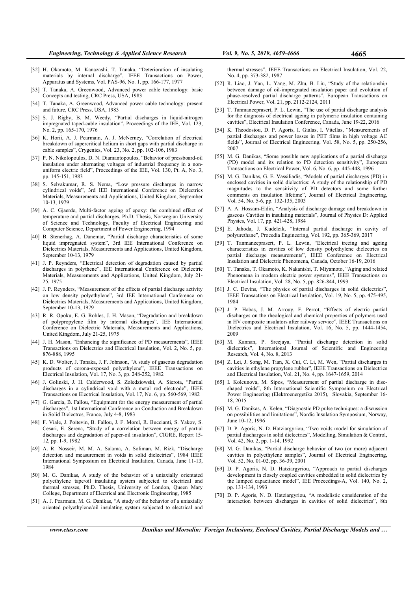- [32] H. Okamoto, M. Kanazashi, T. Tanaka, "Deterioration of insulating materials by internal discharge", IEEE Transactions on Power, Apparatus and Systems, Vol. PAS-96, No. 1, pp. 166-177, 1977
- [33] T. Tanaka, A. Greenwood, Advanced power cable technology: basic Concepts and testing, CRC Press, USA, 1983
- [34] T. Tanaka, A. Greenwood, Advanced power cable technology: present and future, CRC Press, USA, 1983
- [35] S. J. Rigby, B. M. Weedy, "Partial discharges in liquid-nitrogen impregnated taped-cable insulation", Proceedings of the IEE, Vol. 123, No. 2, pp. 165-170, 1976
- [36] K. Horii, A. J. Pearmain, A. J. McNerney, "Correlation of electrical breakdown of supercritical helium in short gaps with partial discharge in cable samples", Crygenics, Vol. 23, No. 2, pp. 102-106, 1983
- [37] P. N. Nikolopoulos, D. N. Diamantopoulos, "Behavior of pressboard-oil" insulation under alternating voltages of industrial frequency in a nonuniform electric field", Proceedings of the IEE, Vol. 130, Pt. A, No. 3, pp. 145-151, 1983
- [38] S. Selvakumar, R. S. Nema, "Low pressure discharges in narrow cylindrical voids", 3rd IEE International Conference on Dielectrics Materials, Measurements and Applications, United Kingdom, September 10-13, 1979
- [39] A. C. Gjaerde, Multi-factor ageing of epoxy: the combined effect of temperature and partial discharges, Ph.D. Thesis, Norwegian University of Science and Technology, Faculty of Electrical Engineering and Computer Science, Department of Power Engineering, 1994
- [40] B. Stenerhag, A. Danemar, "Partial discharge characteristics of some liquid impregnated system", 3rd IEE International Conference on Dielectrics Materials, Measurements and Applications, United Kingdom, September 10-13, 1979
- [41] J. P. Reynders, "Electrical detection of degradation caused by partial discharges in polythene", IEE International Conference on Dielectric Materials, Measurements and Applications, United Kingdom, July 21- 25, 1975
- [42] J. P. Reynders, "Measurement of the effects of partial discharge activity on low density polyethylene", 3rd IEE International Conference on Dielectrics Materials, Measurements and Applications, United Kingdom, September 10-13, 1979
- [43] R. R. Opoku, E. G. Robles, J. H. Mason, "Degradation and breakdown of polypropylene film by internal discharges", IEE International Conference on Dielectric Materials, Measurements and Applications, United Kingdom, July 21-25, 1975
- [44] J. H. Mason, "Enhancing the significance of PD measurements", IEEE Transactions on Dielectrics and Electrical Insulation, Vol. 2, No. 5, pp. 876-888, 1995
- [45] K. D. Wolter, J. Tanaka, J. F. Johnson, "A study of gaseous degradation products of corona-exposed polyethylene", IEEE Transactions on Electrical Insulation, Vol. 17, No. 3, pp. 248-252, 1982
- [46] J. Golinski, J. H. Calderwood, S. Zoledziowski, A. Sierota, "Partial discharges in a cylindrical void with a metal rod electrode", IEEE Transactions on Electrical Insulation, Vol. 17, No. 6, pp. 560-569, 1982
- [47] G. Garcia, B. Fallou, "Equipment for the energy measurement of partial discharges", 1st International Conference on Conduction and Breakdown in Solid Dielectrcs, France, July 4-8, 1983
- [48] F. Viale, J. Poitevin, B. Fallou, J. F. Morel, R. Buccianti, S. Yakov, S. Cesari, E. Serena, "Study of a correlation between energy of partial discharges and degradation of paper-oil insulation", CIGRE, Report 15- 12, pp. 1-9, 1982
- [49] A. R. Nosseir, M. M. A. Salama, A. Soliman, M. Rizk, "Discharge detection and measurement in voids in solid dielectrics", 1984 IEEE International Symposium on Electrical Insulation, Canada, June 11-13, 1984
- [50] M. G. Danikas, A study of the behavior of a uniaxially orientated polyethylene tape/oil insulating system subjected to electrical and thermal stresses, Ph.D. Thesis, University of London, Queen Mary College, Department of Electrical and Electronic Engineering, 1985
- [51] A. J. Pearmain, M. G. Danikas, "A study of the behavior of a uniaxially oriented polyethylene/oil insulating system subjected to electrical and

thermal stresses", IEEE Transactions on Electrical Insulation, Vol. 22, No. 4, pp. 373-382, 1987

- [52] R. Liao, J. Yan, L. Yang, M. Zhu, B. Liu, "Study of the relationship between damage of oil-impregnated insulation paper and evolution of phase-resolved partial discharge patterns", European Transactions on Electrical Power, Vol. 21, pp. 2112-2124, 2011
- [53] T. Tanmaneeprasert, P. L. Lewin, "The use of partial discharge analysis for the diagnosis of electrical ageing in polymeric insulation containing cavities", Electrical Insulation Conference, Canada, June 19-22, 2016
- [54] K. Theodosiou, D. P. Agoris, I. Gialas, I. Vitellas, "Measurements of partial discharges and power losses in PET films in high voltage AC fields", Journal of Electrical Engineering, Vol. 58, No. 5, pp. 250-256, 2007
- [55] M. G. Danikas, "Some possible new applications of a partial discharge (PD) model and its relation to PD detection sensitivity", European Transactions on Electrical Power, Vol. 6, No. 6, pp. 445-448, 1996
- [56] M. G. Danikas, G. E. Vassiliadis, "Models of partial discharges (PD) in enclosed cavities in solid dielectrics: A study of the relationship of PD magnitudes to the sensitivity of PD detectors and some further comments on insulation lifetime", Journal of Electrical Engineering, Vol. 54, No. 5-6, pp. 132-135, 2003
- [57] A. A. Hossam-Eldin, "Analysis of discharge damage and breakdown in gaseous Cavities in insulating materials", Journal of Physics D: Applied Physics, Vol. 17, pp. 421-428, 1984
- [58] E. Jahoda, J. Kudelcik, "Internal partial discharge in cavity of polyurethane", Procedia Engineering, Vol. 192, pp. 365-369, 2017
- [59] T. Tanmaneeprasert, P. L. Lewin, "Electrical treeing and ageing characteristics in cavities of low density polyethylene dielectrics on partial discharge measurements", IEEE Conference on Electrical Insulation and Dielectric Phenomena, Canada, October 16-19, 2016
- [60] T. Tanaka, T. Okamoto, K. Nakanishi, T. Miyamoto, "Aging and related Phenomena in modern electric power systems", IEEE Transactions on Electrical Insulation, Vol. 28, No. 5, pp. 826-844, 1993
- [61] J. C. Devins, "The physics of partial discharges in solid dielectrics", IEEE Transactions on Electrical Insulation, Vol. 19, No. 5, pp. 475-495, 1984
- [62] J. P. Habas, J. M. Arrouy, F. Perrot, "Effects of electric partial discharges on the rheological and chemical properties of polymers used in HV composite insulators after railway service", IEEE Transactions on Dielectrics and Electrical Insulation, Vol. 16, No. 5, pp. 1444-1454, 2009
- [63] M. Kannan, P. Sreejaya, "Partial discharge detection in solid dielectrics", International Journal of Scientific and Engineering Research, Vol. 4, No. 8, 2013
- [64] Z. Lei, J. Song, M. Tian, X. Cui, C. Li, M. Wen, "Partial discharges in cavities in ethylene propylene rubber", IEEE Transactions on Dielectrics and Electrical Insulation, Vol. 21, No. 4, pp. 1647-1659, 2014
- [65] I. Kolcunova, M. Sipos, "Measurement of partial discharge in discshaped voids", 8th International Scientific Symposium on Electrical Power Engineering (Elektroenergetika 2015), Slovakia, September 16- 18, 2015
- [66] M. G. Danikas, A. Kelen, "Diagnostic PD pulse techniques: a discussion on possibilities and limitations", Nordic Insulation Symposium, Norway, June 10-12, 1996
- [67] D. P. Agoris, N. D. Hatziargyriou, "Two voids model for simulation of partial discharges in solid dielectrics", Modelling, Simulation & Control, Vol. 42, No. 2, pp. 1-14, 1992
- [68] M. G. Danikas, "Partial discharge behavior of two (or more) adjacent cavities in polyethylene samples", Journal of Electrical Engineering, Vol. 52, No. 01-02, pp. 36-39, 2001
- [69] D. P. Agoris, N. D. Hatziargyriou, "Approach to partial discharges development in closely coupled cavities embedded in solid dielectrics by the lumped capacitance model", IEE Proceedings-A, Vol. 140, No. 2, pp. 131-134, 1993
- [70] D. P. Agoris, N. D. Hatziargyriou, "A modelistic consideration of the interaction between discharges in cavities of solid dielectrics", 8th